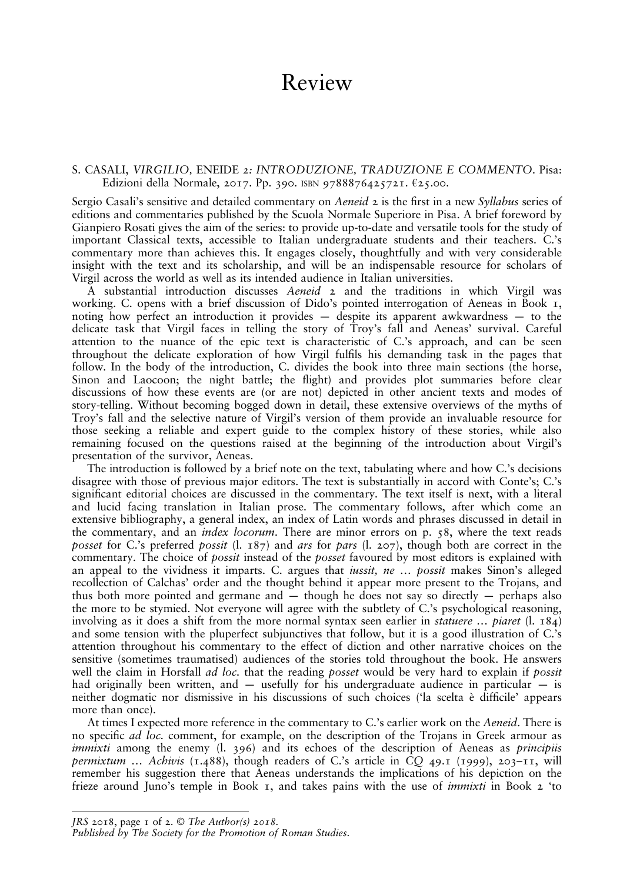## Review

## S. CASALI, VIRGILIO, ENEIDE 2: INTRODUZIONE, TRADUZIONE E COMMENTO. Pisa: Edizioni della Normale, 2017. Pp. 390. ISBN 9788876425721. €25.00.

Sergio Casali's sensitive and detailed commentary on Aeneid 2 is the first in a new Syllabus series of editions and commentaries published by the Scuola Normale Superiore in Pisa. A brief foreword by Gianpiero Rosati gives the aim of the series: to provide up-to-date and versatile tools for the study of important Classical texts, accessible to Italian undergraduate students and their teachers. C.'s commentary more than achieves this. It engages closely, thoughtfully and with very considerable insight with the text and its scholarship, and will be an indispensable resource for scholars of Virgil across the world as well as its intended audience in Italian universities.

A substantial introduction discusses Aeneid 2 and the traditions in which Virgil was working. C. opens with a brief discussion of Dido's pointed interrogation of Aeneas in Book 1, noting how perfect an introduction it provides — despite its apparent awkwardness — to the delicate task that Virgil faces in telling the story of Troy's fall and Aeneas' survival. Careful attention to the nuance of the epic text is characteristic of C.'s approach, and can be seen throughout the delicate exploration of how Virgil fulls his demanding task in the pages that follow. In the body of the introduction, C. divides the book into three main sections (the horse, Sinon and Laocoon; the night battle; the flight) and provides plot summaries before clear discussions of how these events are (or are not) depicted in other ancient texts and modes of story-telling. Without becoming bogged down in detail, these extensive overviews of the myths of Troy's fall and the selective nature of Virgil's version of them provide an invaluable resource for those seeking a reliable and expert guide to the complex history of these stories, while also remaining focused on the questions raised at the beginning of the introduction about Virgil's presentation of the survivor, Aeneas.

The introduction is followed by a brief note on the text, tabulating where and how C.'s decisions disagree with those of previous major editors. The text is substantially in accord with Conte's; C.'s significant editorial choices are discussed in the commentary. The text itself is next, with a literal and lucid facing translation in Italian prose. The commentary follows, after which come an extensive bibliography, a general index, an index of Latin words and phrases discussed in detail in the commentary, and an *index locorum*. There are minor errors on p.  $\zeta$ 8, where the text reads posset for C.'s preferred possit (l. 187) and ars for pars (l. 207), though both are correct in the commentary. The choice of *possit* instead of the *posset* favoured by most editors is explained with an appeal to the vividness it imparts. C. argues that *iussit, ne ... possit* makes Sinon's alleged recollection of Calchas' order and the thought behind it appear more present to the Trojans, and thus both more pointed and germane and  $-$  though he does not say so directly  $-$  perhaps also the more to be stymied. Not everyone will agree with the subtlety of C.'s psychological reasoning, involving as it does a shift from the more normal syntax seen earlier in *statuere* ... *piaret* (l. 184) and some tension with the pluperfect subjunctives that follow, but it is a good illustration of C.'s attention throughout his commentary to the effect of diction and other narrative choices on the sensitive (sometimes traumatised) audiences of the stories told throughout the book. He answers well the claim in Horsfall *ad loc*. that the reading posset would be very hard to explain if possit had originally been written, and — usefully for his undergraduate audience in particular — is neither dogmatic nor dismissive in his discussions of such choices ('la scelta è difficile' appears more than once).

At times I expected more reference in the commentary to C.'s earlier work on the Aeneid. There is no specific *ad loc.* comment, for example, on the description of the Trojans in Greek armour as *immixti* among the enemy  $(1, 396)$  and its echoes of the description of Aeneas as *principiis* permixtum ... Achivis (1.488), though readers of C.'s article in CO 49.1 (1999), 203–11, will remember his suggestion there that Aeneas understands the implications of his depiction on the frieze around Juno's temple in Book 1, and takes pains with the use of immixti in Book 2 'to